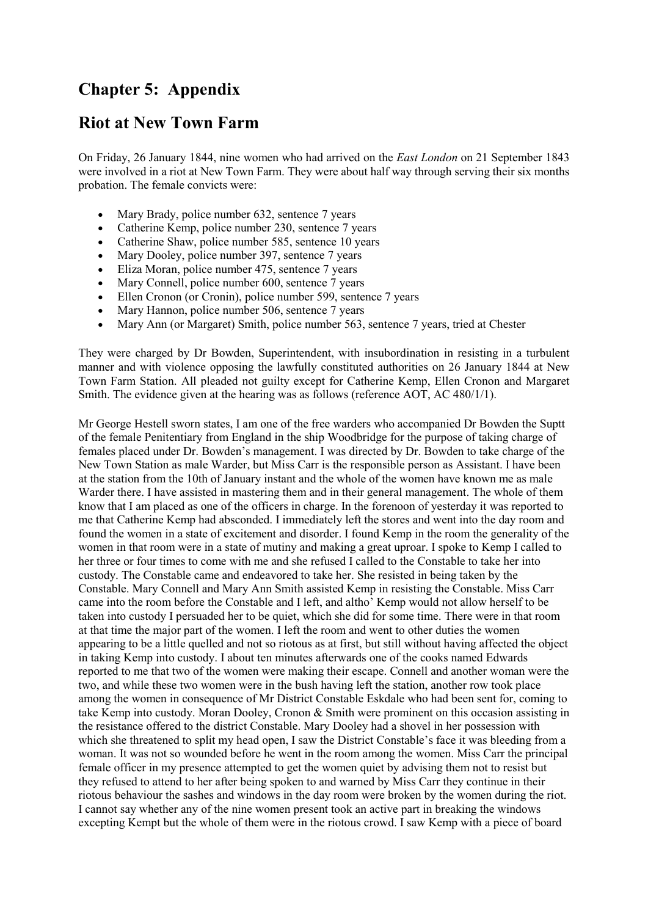# **Chapter 5: Appendix**

## **Riot at New Town Farm**

On Friday, 26 January 1844, nine women who had arrived on the *East London* on 21 September 1843 were involved in a riot at New Town Farm. They were about half way through serving their six months probation. The female convicts were:

- Mary Brady, police number 632, sentence 7 years
- Catherine Kemp, police number 230, sentence 7 years
- Catherine Shaw, police number 585, sentence 10 years
- Mary Dooley, police number 397, sentence 7 years
- Eliza Moran, police number 475, sentence 7 years
- Mary Connell, police number 600, sentence 7 years
- Ellen Cronon (or Cronin), police number 599, sentence 7 years<br>• Mary Hannon, police number 506, sentence 7 years
- Mary Hannon, police number 506, sentence 7 years
- Mary Ann (or Margaret) Smith, police number 563, sentence 7 years, tried at Chester

They were charged by Dr Bowden, Superintendent, with insubordination in resisting in a turbulent manner and with violence opposing the lawfully constituted authorities on 26 January 1844 at New Town Farm Station. All pleaded not guilty except for Catherine Kemp, Ellen Cronon and Margaret Smith. The evidence given at the hearing was as follows (reference AOT, AC 480/1/1).

Mr George Hestell sworn states, I am one of the free warders who accompanied Dr Bowden the Suptt of the female Penitentiary from England in the ship Woodbridge for the purpose of taking charge of females placed under Dr. Bowden's management. I was directed by Dr. Bowden to take charge of the New Town Station as male Warder, but Miss Carr is the responsible person as Assistant. I have been at the station from the 10th of January instant and the whole of the women have known me as male Warder there. I have assisted in mastering them and in their general management. The whole of them know that I am placed as one of the officers in charge. In the forenoon of yesterday it was reported to me that Catherine Kemp had absconded. I immediately left the stores and went into the day room and found the women in a state of excitement and disorder. I found Kemp in the room the generality of the women in that room were in a state of mutiny and making a great uproar. I spoke to Kemp I called to her three or four times to come with me and she refused I called to the Constable to take her into custody. The Constable came and endeavored to take her. She resisted in being taken by the Constable. Mary Connell and Mary Ann Smith assisted Kemp in resisting the Constable. Miss Carr came into the room before the Constable and I left, and altho' Kemp would not allow herself to be taken into custody I persuaded her to be quiet, which she did for some time. There were in that room at that time the major part of the women. I left the room and went to other duties the women appearing to be a little quelled and not so riotous as at first, but still without having affected the object in taking Kemp into custody. I about ten minutes afterwards one of the cooks named Edwards reported to me that two of the women were making their escape. Connell and another woman were the two, and while these two women were in the bush having left the station, another row took place among the women in consequence of Mr District Constable Eskdale who had been sent for, coming to take Kemp into custody. Moran Dooley, Cronon & Smith were prominent on this occasion assisting in the resistance offered to the district Constable. Mary Dooley had a shovel in her possession with which she threatened to split my head open, I saw the District Constable's face it was bleeding from a woman. It was not so wounded before he went in the room among the women. Miss Carr the principal female officer in my presence attempted to get the women quiet by advising them not to resist but they refused to attend to her after being spoken to and warned by Miss Carr they continue in their riotous behaviour the sashes and windows in the day room were broken by the women during the riot. I cannot say whether any of the nine women present took an active part in breaking the windows excepting Kempt but the whole of them were in the riotous crowd. I saw Kemp with a piece of board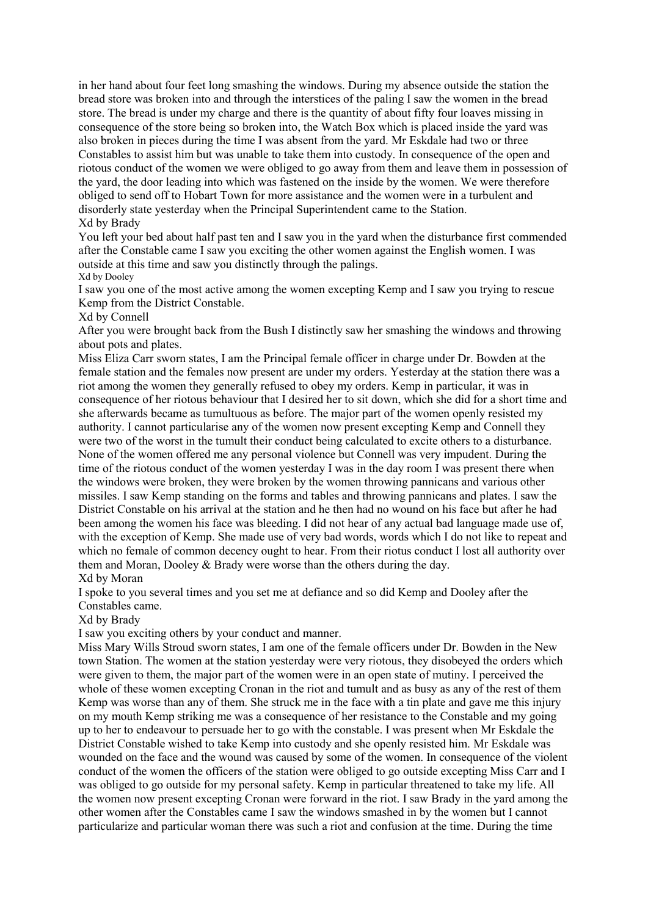in her hand about four feet long smashing the windows. During my absence outside the station the bread store was broken into and through the interstices of the paling I saw the women in the bread store. The bread is under my charge and there is the quantity of about fifty four loaves missing in consequence of the store being so broken into, the Watch Box which is placed inside the yard was also broken in pieces during the time I was absent from the yard. Mr Eskdale had two or three Constables to assist him but was unable to take them into custody. In consequence of the open and riotous conduct of the women we were obliged to go away from them and leave them in possession of the yard, the door leading into which was fastened on the inside by the women. We were therefore obliged to send off to Hobart Town for more assistance and the women were in a turbulent and disorderly state yesterday when the Principal Superintendent came to the Station. Xd by Brady

You left your bed about half past ten and I saw you in the yard when the disturbance first commended after the Constable came I saw you exciting the other women against the English women. I was outside at this time and saw you distinctly through the palings. Xd by Dooley

I saw you one of the most active among the women excepting Kemp and I saw you trying to rescue Kemp from the District Constable.

Xd by Connell

After you were brought back from the Bush I distinctly saw her smashing the windows and throwing about pots and plates.

Miss Eliza Carr sworn states, I am the Principal female officer in charge under Dr. Bowden at the female station and the females now present are under my orders. Yesterday at the station there was a riot among the women they generally refused to obey my orders. Kemp in particular, it was in consequence of her riotous behaviour that I desired her to sit down, which she did for a short time and she afterwards became as tumultuous as before. The major part of the women openly resisted my authority. I cannot particularise any of the women now present excepting Kemp and Connell they were two of the worst in the tumult their conduct being calculated to excite others to a disturbance. None of the women offered me any personal violence but Connell was very impudent. During the time of the riotous conduct of the women yesterday I was in the day room I was present there when the windows were broken, they were broken by the women throwing pannicans and various other missiles. I saw Kemp standing on the forms and tables and throwing pannicans and plates. I saw the District Constable on his arrival at the station and he then had no wound on his face but after he had been among the women his face was bleeding. I did not hear of any actual bad language made use of, with the exception of Kemp. She made use of very bad words, words which I do not like to repeat and which no female of common decency ought to hear. From their riotus conduct I lost all authority over them and Moran, Dooley & Brady were worse than the others during the day. Xd by Moran

I spoke to you several times and you set me at defiance and so did Kemp and Dooley after the Constables came.

Xd by Brady

I saw you exciting others by your conduct and manner.

Miss Mary Wills Stroud sworn states, I am one of the female officers under Dr. Bowden in the New town Station. The women at the station yesterday were very riotous, they disobeyed the orders which were given to them, the major part of the women were in an open state of mutiny. I perceived the whole of these women excepting Cronan in the riot and tumult and as busy as any of the rest of them Kemp was worse than any of them. She struck me in the face with a tin plate and gave me this injury on my mouth Kemp striking me was a consequence of her resistance to the Constable and my going up to her to endeavour to persuade her to go with the constable. I was present when Mr Eskdale the District Constable wished to take Kemp into custody and she openly resisted him. Mr Eskdale was wounded on the face and the wound was caused by some of the women. In consequence of the violent conduct of the women the officers of the station were obliged to go outside excepting Miss Carr and I was obliged to go outside for my personal safety. Kemp in particular threatened to take my life. All the women now present excepting Cronan were forward in the riot. I saw Brady in the yard among the other women after the Constables came I saw the windows smashed in by the women but I cannot particularize and particular woman there was such a riot and confusion at the time. During the time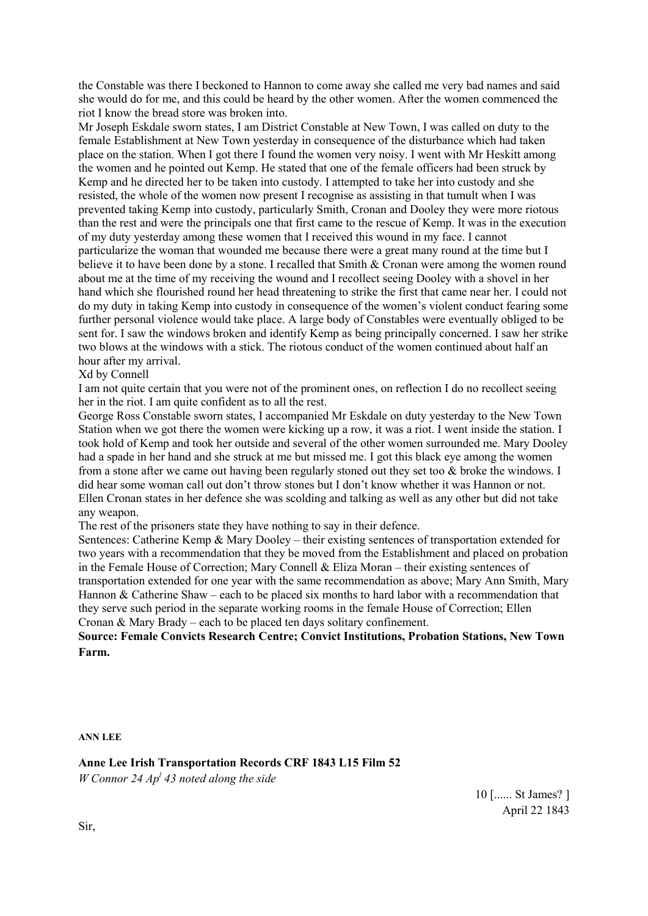the Constable was there I beckoned to Hannon to come away she called me very bad names and said she would do for me, and this could be heard by the other women. After the women commenced the riot I know the bread store was broken into.

Mr Joseph Eskdale sworn states, I am District Constable at New Town, I was called on duty to the female Establishment at New Town yesterday in consequence of the disturbance which had taken place on the station. When I got there I found the women very noisy. I went with Mr Heskitt among the women and he pointed out Kemp. He stated that one of the female officers had been struck by Kemp and he directed her to be taken into custody. I attempted to take her into custody and she resisted, the whole of the women now present I recognise as assisting in that tumult when I was prevented taking Kemp into custody, particularly Smith, Cronan and Dooley they were more riotous than the rest and were the principals one that first came to the rescue of Kemp. It was in the execution of my duty yesterday among these women that I received this wound in my face. I cannot particularize the woman that wounded me because there were a great many round at the time but I believe it to have been done by a stone. I recalled that Smith & Cronan were among the women round about me at the time of my receiving the wound and I recollect seeing Dooley with a shovel in her hand which she flourished round her head threatening to strike the first that came near her. I could not do my duty in taking Kemp into custody in consequence of the women's violent conduct fearing some further personal violence would take place. A large body of Constables were eventually obliged to be sent for. I saw the windows broken and identify Kemp as being principally concerned. I saw her strike two blows at the windows with a stick. The riotous conduct of the women continued about half an hour after my arrival.

#### Xd by Connell

I am not quite certain that you were not of the prominent ones, on reflection I do no recollect seeing her in the riot. I am quite confident as to all the rest.

George Ross Constable sworn states, I accompanied Mr Eskdale on duty yesterday to the New Town Station when we got there the women were kicking up a row, it was a riot. I went inside the station. I took hold of Kemp and took her outside and several of the other women surrounded me. Mary Dooley had a spade in her hand and she struck at me but missed me. I got this black eye among the women from a stone after we came out having been regularly stoned out they set too & broke the windows. I did hear some woman call out don't throw stones but I don't know whether it was Hannon or not. Ellen Cronan states in her defence she was scolding and talking as well as any other but did not take any weapon.

The rest of the prisoners state they have nothing to say in their defence.

Sentences: Catherine Kemp & Mary Dooley – their existing sentences of transportation extended for two years with a recommendation that they be moved from the Establishment and placed on probation in the Female House of Correction; Mary Connell & Eliza Moran – their existing sentences of transportation extended for one year with the same recommendation as above; Mary Ann Smith, Mary Hannon & Catherine Shaw – each to be placed six months to hard labor with a recommendation that they serve such period in the separate working rooms in the female House of Correction; Ellen Cronan & Mary Brady – each to be placed ten days solitary confinement.

**Source: Female Convicts Research Centre; Convict Institutions, Probation Stations, New Town Farm.**

**ANN LEE**

**Anne Lee Irish Transportation Records CRF 1843 L15 Film 52** *W Connor 24 Apl 43 noted along the side*

> 10 [...... St James? ] April 22 1843

Sir,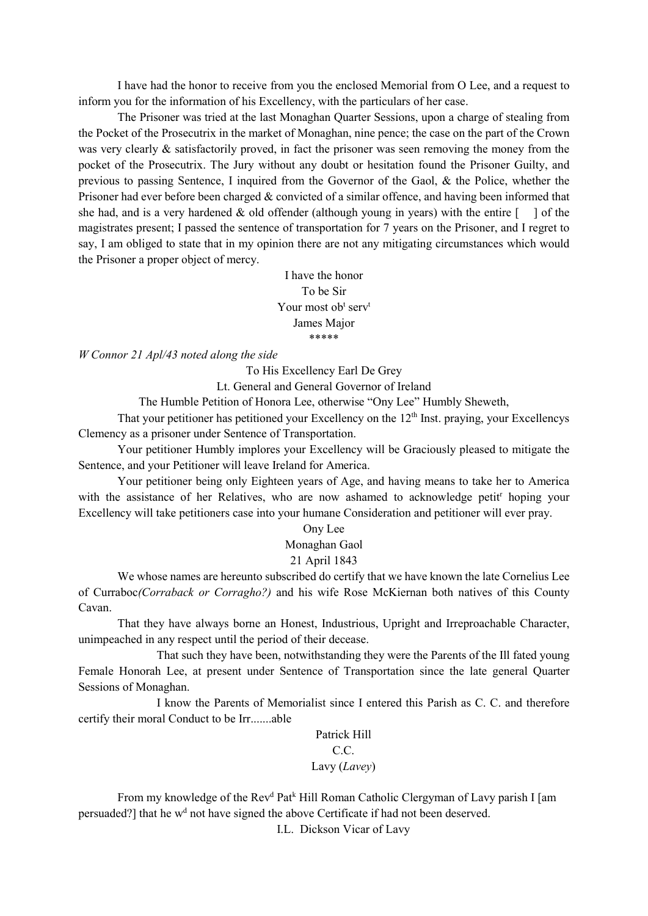I have had the honor to receive from you the enclosed Memorial from O Lee, and a request to inform you for the information of his Excellency, with the particulars of her case.

The Prisoner was tried at the last Monaghan Quarter Sessions, upon a charge of stealing from the Pocket of the Prosecutrix in the market of Monaghan, nine pence; the case on the part of the Crown was very clearly & satisfactorily proved, in fact the prisoner was seen removing the money from the pocket of the Prosecutrix. The Jury without any doubt or hesitation found the Prisoner Guilty, and previous to passing Sentence, I inquired from the Governor of the Gaol, & the Police, whether the Prisoner had ever before been charged & convicted of a similar offence, and having been informed that she had, and is a very hardened  $\&$  old offender (although young in years) with the entire  $\begin{bmatrix} 1 \end{bmatrix}$  of the magistrates present; I passed the sentence of transportation for 7 years on the Prisoner, and I regret to say, I am obliged to state that in my opinion there are not any mitigating circumstances which would the Prisoner a proper object of mercy.

> I have the honor To be Sir Your most ob<sup>t</sup> serv<sup>t</sup> James Major \*\*\*\*\*

*W Connor 21 Apl/43 noted along the side*

To His Excellency Earl De Grey

Lt. General and General Governor of Ireland

The Humble Petition of Honora Lee, otherwise "Ony Lee" Humbly Sheweth,

That your petitioner has petitioned your Excellency on the  $12<sup>th</sup>$  Inst. praying, your Excellencys Clemency as a prisoner under Sentence of Transportation.

Your petitioner Humbly implores your Excellency will be Graciously pleased to mitigate the Sentence, and your Petitioner will leave Ireland for America.

Your petitioner being only Eighteen years of Age, and having means to take her to America with the assistance of her Relatives, who are now ashamed to acknowledge petit<sup>r</sup> hoping your Excellency will take petitioners case into your humane Consideration and petitioner will ever pray.

#### Ony Lee

Monaghan Gaol

#### 21 April 1843

We whose names are hereunto subscribed do certify that we have known the late Cornelius Lee of Curraboc*(Corraback or Corragho?)* and his wife Rose McKiernan both natives of this County Cavan.

That they have always borne an Honest, Industrious, Upright and Irreproachable Character, unimpeached in any respect until the period of their decease.

That such they have been, notwithstanding they were the Parents of the Ill fated young Female Honorah Lee, at present under Sentence of Transportation since the late general Quarter Sessions of Monaghan.

I know the Parents of Memorialist since I entered this Parish as C. C. and therefore certify their moral Conduct to be Irr.......able

> Patrick Hill C.C. Lavy (*Lavey*)

From my knowledge of the Rev<sup>d</sup> Pat<sup>k</sup> Hill Roman Catholic Clergyman of Lavy parish I [am persuaded?] that he w<sup>d</sup> not have signed the above Certificate if had not been deserved.

I.L. Dickson Vicar of Lavy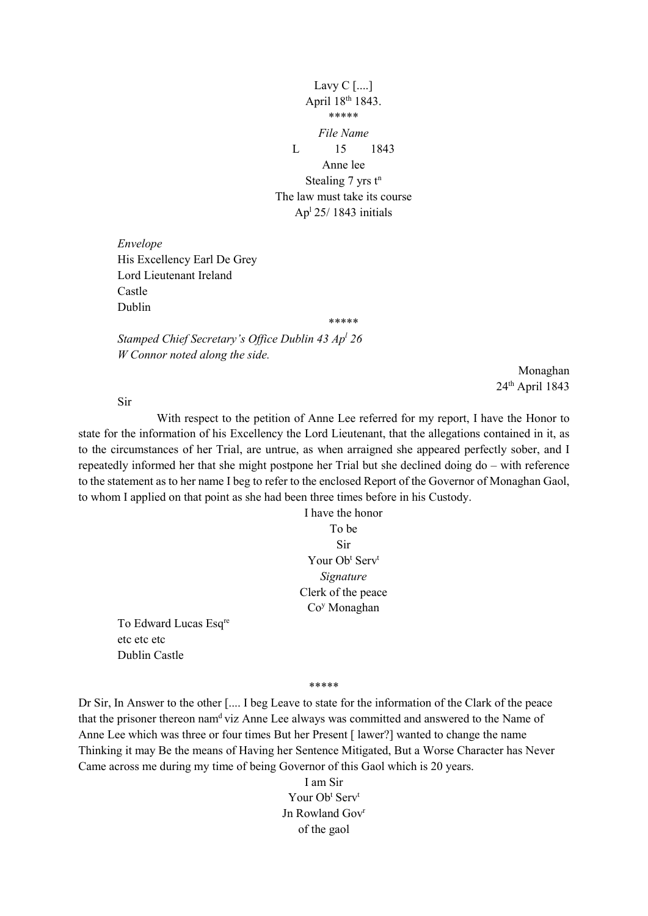Lavy C [....] April 18<sup>th</sup> 1843. \*\*\*\*\* *File Name* L 15 1843 Anne lee Stealing  $7$  yrs  $t^n$ The law must take its course Apl 25/ 1843 initials

\*\*\*\*\*

*Envelope* His Excellency Earl De Grey Lord Lieutenant Ireland Castle Dublin

*Stamped Chief Secretary's Office Dublin 43 Apl 26 W Connor noted along the side.*

> Monaghan 24th April 1843

Sir

With respect to the petition of Anne Lee referred for my report, I have the Honor to state for the information of his Excellency the Lord Lieutenant, that the allegations contained in it, as to the circumstances of her Trial, are untrue, as when arraigned she appeared perfectly sober, and I repeatedly informed her that she might postpone her Trial but she declined doing do – with reference to the statement as to her name I beg to refer to the enclosed Report of the Governor of Monaghan Gaol, to whom I applied on that point as she had been three times before in his Custody.

> I have the honor To be Sir Your Ob<sup>t</sup> Serv<sup>t</sup> *Signature* Clerk of the peace Coy Monaghan

To Edward Lucas Esqre etc etc etc Dublin Castle

\*\*\*\*\*

Dr Sir, In Answer to the other [.... I beg Leave to state for the information of the Clark of the peace that the prisoner thereon namd viz Anne Lee always was committed and answered to the Name of Anne Lee which was three or four times But her Present [ lawer?] wanted to change the name Thinking it may Be the means of Having her Sentence Mitigated, But a Worse Character has Never Came across me during my time of being Governor of this Gaol which is 20 years.

> I am Sir Your Ob<sup>t</sup> Serv<sup>t</sup> Jn Rowland Gov<sup>r</sup> of the gaol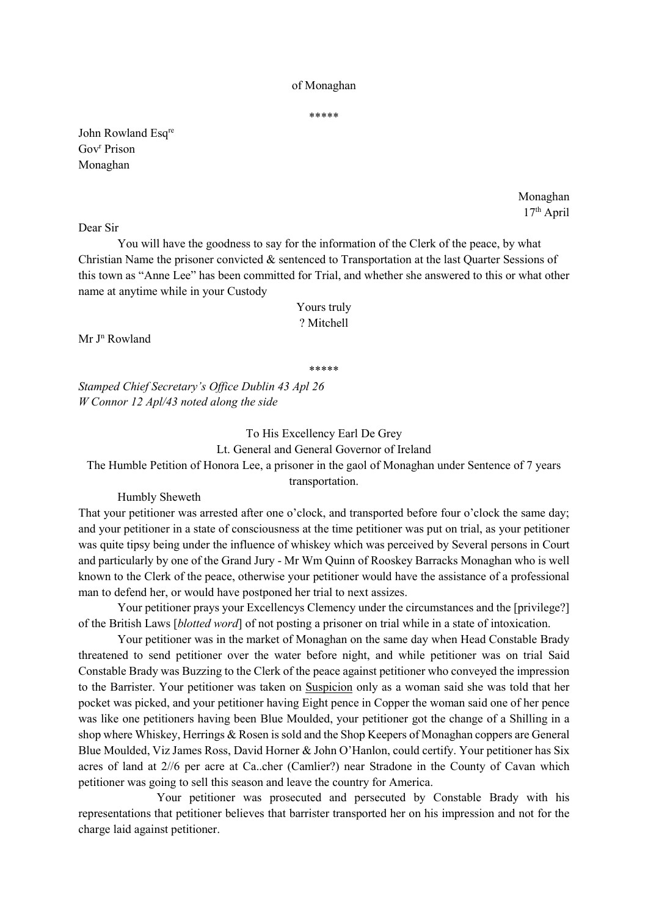#### of Monaghan

\*\*\*\*\*

John Rowland Esqre Gov<sup>r</sup> Prison Monaghan

> Monaghan 17th April

Dear Sir

You will have the goodness to say for the information of the Clerk of the peace, by what Christian Name the prisoner convicted & sentenced to Transportation at the last Quarter Sessions of this town as "Anne Lee" has been committed for Trial, and whether she answered to this or what other name at anytime while in your Custody

#### Yours truly ? Mitchell

 $Mr J<sup>n</sup> Rowland$ 

\*\*\*\*\*

*Stamped Chief Secretary's Office Dublin 43 Apl 26 W Connor 12 Apl/43 noted along the side*

#### To His Excellency Earl De Grey Lt. General and General Governor of Ireland

The Humble Petition of Honora Lee, a prisoner in the gaol of Monaghan under Sentence of 7 years

transportation.

Humbly Sheweth

That your petitioner was arrested after one o'clock, and transported before four o'clock the same day; and your petitioner in a state of consciousness at the time petitioner was put on trial, as your petitioner was quite tipsy being under the influence of whiskey which was perceived by Several persons in Court and particularly by one of the Grand Jury - Mr Wm Quinn of Rooskey Barracks Monaghan who is well known to the Clerk of the peace, otherwise your petitioner would have the assistance of a professional man to defend her, or would have postponed her trial to next assizes.

Your petitioner prays your Excellencys Clemency under the circumstances and the [privilege?] of the British Laws [*blotted word*] of not posting a prisoner on trial while in a state of intoxication.

Your petitioner was in the market of Monaghan on the same day when Head Constable Brady threatened to send petitioner over the water before night, and while petitioner was on trial Said Constable Brady was Buzzing to the Clerk of the peace against petitioner who conveyed the impression to the Barrister. Your petitioner was taken on Suspicion only as a woman said she was told that her pocket was picked, and your petitioner having Eight pence in Copper the woman said one of her pence was like one petitioners having been Blue Moulded, your petitioner got the change of a Shilling in a shop where Whiskey, Herrings & Rosen is sold and the Shop Keepers of Monaghan coppers are General Blue Moulded, Viz James Ross, David Horner & John O'Hanlon, could certify. Your petitioner has Six acres of land at 2//6 per acre at Ca..cher (Camlier?) near Stradone in the County of Cavan which petitioner was going to sell this season and leave the country for America.

Your petitioner was prosecuted and persecuted by Constable Brady with his representations that petitioner believes that barrister transported her on his impression and not for the charge laid against petitioner.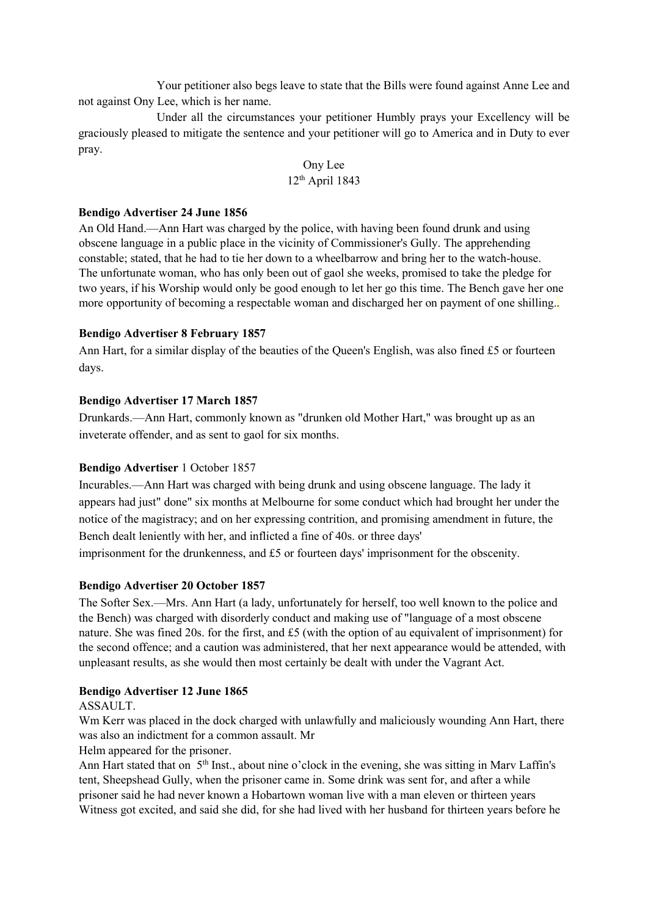Your petitioner also begs leave to state that the Bills were found against Anne Lee and not against Ony Lee, which is her name.

Under all the circumstances your petitioner Humbly prays your Excellency will be graciously pleased to mitigate the sentence and your petitioner will go to America and in Duty to ever pray.

> Ony Lee 12th April 1843

#### **Bendigo Advertiser 24 June 1856**

An Old Hand.—Ann Hart was charged by the police, with having been found drunk and using obscene language in a public place in the vicinity of Commissioner's Gully. The apprehending constable; stated, that he had to tie her down to a wheelbarrow and bring her to the watch-house. The unfortunate woman, who has only been out of gaol she weeks, promised to take the pledge for two years, if his Worship would only be good enough to let her go this time. The Bench gave her one more opportunity of becoming a respectable woman and discharged her on payment of one shilling.

#### **Bendigo Advertiser 8 February 1857**

Ann Hart, for a similar display of the beauties of the Queen's English, was also fined £5 or fourteen days.

#### **Bendigo Advertiser 17 March 1857**

Drunkards.—Ann Hart, commonly known as "drunken old Mother Hart," was brought up as an inveterate offender, and as sent to gaol for six months.

### **Bendigo Advertiser** 1 October 1857

Incurables.—Ann Hart was charged with being drunk and using obscene language. The lady it appears had just" done" six months at Melbourne for some conduct which had brought her under the notice of the magistracy; and on her expressing contrition, and promising amendment in future, the Bench dealt leniently with her, and inflicted a fine of 40s. or three days' imprisonment for the drunkenness, and £5 or fourteen days' imprisonment for the obscenity.

#### **Bendigo Advertiser 20 October 1857**

The Softer Sex.—Mrs. Ann Hart (a lady, unfortunately for herself, too well known to the police and the Bench) was charged with disorderly conduct and making use of "language of a most obscene nature. She was fined 20s. for the first, and £5 (with the option of au equivalent of imprisonment) for the second offence; and a caution was administered, that her next appearance would be attended, with unpleasant results, as she would then most certainly be dealt with under the Vagrant Act.

#### **Bendigo Advertiser 12 June 1865**

#### ASSAULT.

Wm Kerr was placed in the dock charged with unlawfully and maliciously wounding Ann Hart, there was also an indictment for a common assault. Mr

Helm appeared for the prisoner.

Ann Hart stated that on 5<sup>th</sup> Inst., about nine o'clock in the evening, she was sitting in Marv Laffin's tent, Sheepshead Gully, when the prisoner came in. Some drink was sent for, and after a while prisoner said he had never known a Hobartown woman live with a man eleven or thirteen years Witness got excited, and said she did, for she had lived with her husband for thirteen years before he